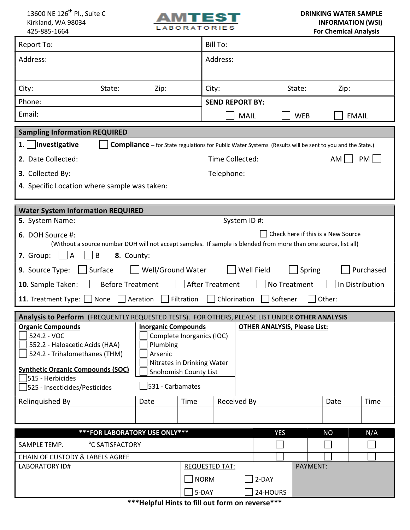

| <b>Report To:</b>                                                                                                                                                      |            |      |      | <b>Bill To:</b>                   |            |      |              |  |
|------------------------------------------------------------------------------------------------------------------------------------------------------------------------|------------|------|------|-----------------------------------|------------|------|--------------|--|
| Address:                                                                                                                                                               |            |      |      | Address:                          |            |      |              |  |
|                                                                                                                                                                        |            |      |      |                                   |            |      |              |  |
| City:                                                                                                                                                                  | State:     | Zip: |      | City:                             | State:     | Zip: |              |  |
| Phone:<br><b>SEND REPORT BY:</b>                                                                                                                                       |            |      |      |                                   |            |      |              |  |
| Email:                                                                                                                                                                 |            |      |      | <b>MAIL</b>                       | <b>WEB</b> |      | <b>EMAIL</b> |  |
| <b>Sampling Information REQUIRED</b>                                                                                                                                   |            |      |      |                                   |            |      |              |  |
| Compliance - for State regulations for Public Water Systems. (Results will be sent to you and the State.)                                                              |            |      |      |                                   |            |      |              |  |
| 2. Date Collected:<br>Time Collected:<br>$AM$                                                                                                                          |            |      |      |                                   |            | PM   |              |  |
| 3. Collected By:                                                                                                                                                       | Telephone: |      |      |                                   |            |      |              |  |
| 4. Specific Location where sample was taken:                                                                                                                           |            |      |      |                                   |            |      |              |  |
|                                                                                                                                                                        |            |      |      |                                   |            |      |              |  |
| <b>Water System Information REQUIRED</b>                                                                                                                               |            |      |      |                                   |            |      |              |  |
| 5. System Name:<br>System ID #:                                                                                                                                        |            |      |      |                                   |            |      |              |  |
| Check here if this is a New Source<br>6. DOH Source #:                                                                                                                 |            |      |      |                                   |            |      |              |  |
| (Without a source number DOH will not accept samples. If sample is blended from more than one source, list all)<br> B <br>7. Group:<br>$\vert$ $\vert$ A<br>8. County: |            |      |      |                                   |            |      |              |  |
| Well/Ground Water<br>Well Field<br>Purchased<br>9. Source Type:<br>Surface<br>Spring                                                                                   |            |      |      |                                   |            |      |              |  |
| After Treatment<br><b>Before Treatment</b><br>No Treatment<br>In Distribution                                                                                          |            |      |      |                                   |            |      |              |  |
| 10. Sample Taken:                                                                                                                                                      |            |      |      |                                   |            |      |              |  |
| $\Box$ Aeration<br>Filtration<br>Chlorination<br>Softener<br>11. Treatment Type: $\Box$<br>None<br>Other:                                                              |            |      |      |                                   |            |      |              |  |
| Analysis to Perform (FREQUENTLY REQUESTED TESTS). FOR OTHERS, PLEASE LIST UNDER OTHER ANALYSIS                                                                         |            |      |      |                                   |            |      |              |  |
| <b>Organic Compounds</b><br><b>OTHER ANALYSIS, Please List:</b><br><b>Inorganic Compounds</b><br>524.2 - VOC<br>Complete Inorganics (IOC)                              |            |      |      |                                   |            |      |              |  |
| 552.2 - Haloacetic Acids (HAA)<br>Plumbing                                                                                                                             |            |      |      |                                   |            |      |              |  |
| 524.2 - Trihalomethanes (THM)<br>Arsenic                                                                                                                               |            |      |      |                                   |            |      |              |  |
| Nitrates in Drinking Water<br><b>Synthetic Organic Compounds (SOC)</b><br>Snohomish County List                                                                        |            |      |      |                                   |            |      |              |  |
| 515 - Herbicides<br>531 - Carbamates<br>525 - Insecticides/Pesticides                                                                                                  |            |      |      |                                   |            |      |              |  |
|                                                                                                                                                                        |            |      |      |                                   |            |      |              |  |
| Relinquished By                                                                                                                                                        |            | Date | Time | <b>Received By</b>                |            | Date | Time         |  |
|                                                                                                                                                                        |            |      |      |                                   |            |      |              |  |
| *** FOR LABORATORY USE ONLY***<br>N/A<br><b>YES</b><br><b>NO</b>                                                                                                       |            |      |      |                                   |            |      |              |  |
| SAMPLE TEMP.<br><sup>°</sup> C SATISFACTORY                                                                                                                            |            |      |      |                                   |            |      |              |  |
| <b>CHAIN OF CUSTODY &amp; LABELS AGREE</b>                                                                                                                             |            |      |      |                                   |            |      |              |  |
| <b>LABORATORY ID#</b>                                                                                                                                                  |            |      |      | <b>REQUESTED TAT:</b><br>PAYMENT: |            |      |              |  |
| <b>NORM</b>                                                                                                                                                            |            |      |      |                                   | 2-DAY      |      |              |  |
| 5-DAY<br>24-HOURS                                                                                                                                                      |            |      |      |                                   |            |      |              |  |

\*\*\*Helpful Hints to fill out form on reverse\*\*\*